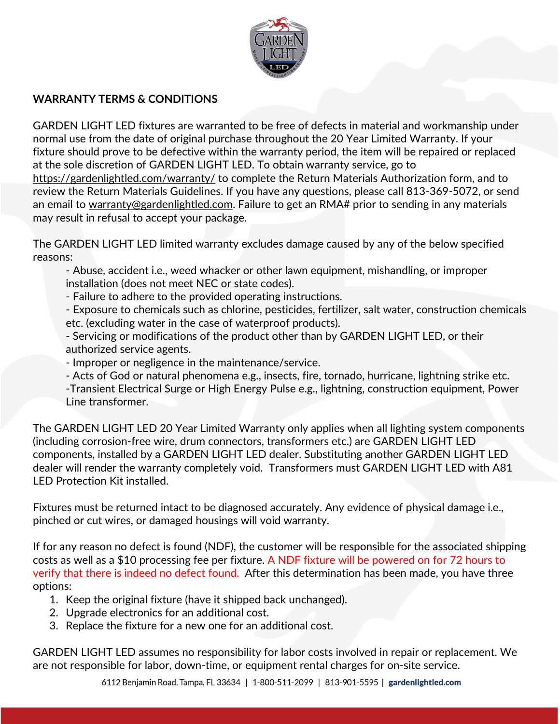

## **WARRANTY TERMS & CONDITIONS**

GARDEN LIGHT LED fixtures are warranted to be free of defects in material and workmanship under normal use from the date of original purchase throughout the 20 Year Limited Warranty. If your fixture should prove to be defective within the warranty period, the item will be repaired or replaced at the sole discretion of GARDEN LIGHT LED. To obtain warranty service, go to <https://gardenlightled.com/warranty/> to complete the Return Materials Authorization form, and to review the Return Materials Guidelines. If you have any questions, please call 813-369-5072, or send an email to [warranty@gardenlightled.com.](mailto:warranty@gardenlightled.com) Failure to get an RMA# prior to sending in any materials may result in refusal to accept your package.

The GARDEN LIGHT LED limited warranty excludes damage caused by any of the below specified reasons:

- Abuse, accident i.e., weed whacker or other lawn equipment, mishandling, or improper installation (does not meet NEC or state codes).

- Failure to adhere to the provided operating instructions.

- Exposure to chemicals such as chlorine, pesticides, fertilizer, salt water, construction chemicals etc. (excluding water in the case of waterproof products).

- Servicing or modifications of the product other than by GARDEN LIGHT LED, or their authorized service agents.
- Improper or negligence in the maintenance/service.
- Acts of God or natural phenomena e.g., insects, fire, tornado, hurricane, lightning strike etc.
- -Transient Electrical Surge or High Energy Pulse e.g., lightning, construction equipment, Power Line transformer.

The GARDEN LIGHT LED 20 Year Limited Warranty only applies when all lighting system components (including corrosion-free wire, drum connectors, transformers etc.) are GARDEN LIGHT LED components, installed by a GARDEN LIGHT LED dealer. Substituting another GARDEN LIGHT LED dealer will render the warranty completely void. Transformers must GARDEN LIGHT LED with A81 LED Protection Kit installed.

Fixtures must be returned intact to be diagnosed accurately. Any evidence of physical damage i.e., pinched or cut wires, or damaged housings will void warranty.

If for any reason no defect is found (NDF), the customer will be responsible for the associated shipping costs as well as a \$10 processing fee per fixture. A NDF fixture will be powered on for 72 hours to verify that there is indeed no defect found. After this determination has been made, you have three options:

- 1. Keep the original fixture (have it shipped back unchanged).
- 2. Upgrade electronics for an additional cost.
- 3. Replace the fixture for a new one for an additional cost.

GARDEN LIGHT LED assumes no responsibility for labor costs involved in repair or replacement. We are not responsible for labor, down-time, or equipment rental charges for on-site service.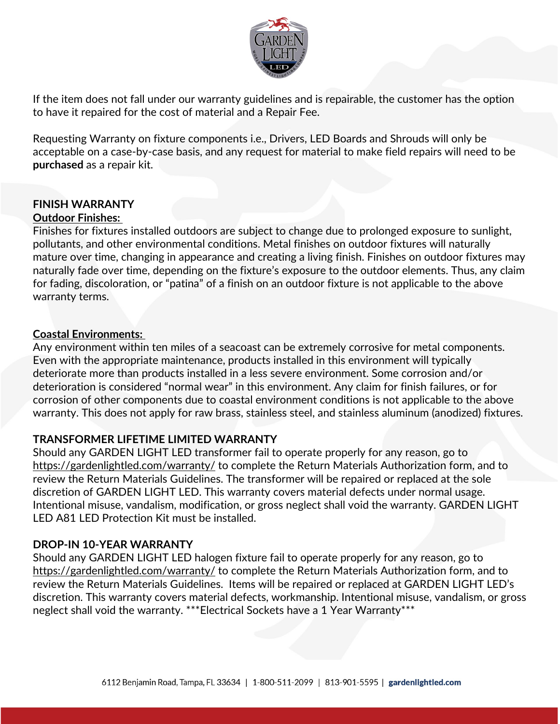

If the item does not fall under our warranty guidelines and is repairable, the customer has the option to have it repaired for the cost of material and a Repair Fee.

Requesting Warranty on fixture components i.e., Drivers, LED Boards and Shrouds will only be acceptable on a case-by-case basis, and any request for material to make field repairs will need to be **purchased** as a repair kit.

## **FINISH WARRANTY Outdoor Finishes:**

Finishes for fixtures installed outdoors are subject to change due to prolonged exposure to sunlight, pollutants, and other environmental conditions. Metal finishes on outdoor fixtures will naturally mature over time, changing in appearance and creating a living finish. Finishes on outdoor fixtures may naturally fade over time, depending on the fixture's exposure to the outdoor elements. Thus, any claim for fading, discoloration, or "patina" of a finish on an outdoor fixture is not applicable to the above warranty terms.

## **Coastal Environments:**

Any environment within ten miles of a seacoast can be extremely corrosive for metal components. Even with the appropriate maintenance, products installed in this environment will typically deteriorate more than products installed in a less severe environment. Some corrosion and/or deterioration is considered "normal wear" in this environment. Any claim for finish failures, or for corrosion of other components due to coastal environment conditions is not applicable to the above warranty. This does not apply for raw brass, stainless steel, and stainless aluminum (anodized) fixtures.

# **TRANSFORMER LIFETIME LIMITED WARRANTY**

Should any GARDEN LIGHT LED transformer fail to operate properly for any reason, go to <https://gardenlightled.com/warranty/> to complete the Return Materials Authorization form, and to review the Return Materials Guidelines. The transformer will be repaired or replaced at the sole discretion of GARDEN LIGHT LED. This warranty covers material defects under normal usage. Intentional misuse, vandalism, modification, or gross neglect shall void the warranty. GARDEN LIGHT LED A81 LED Protection Kit must be installed.

# **DROP-IN 10-YEAR WARRANTY**

Should any GARDEN LIGHT LED halogen fixture fail to operate properly for any reason, go to <https://gardenlightled.com/warranty/> to complete the Return Materials Authorization form, and to review the Return Materials Guidelines. Items will be repaired or replaced at GARDEN LIGHT LED's discretion. This warranty covers material defects, workmanship. Intentional misuse, vandalism, or gross neglect shall void the warranty. \*\*\*Electrical Sockets have a 1 Year Warranty\*\*\*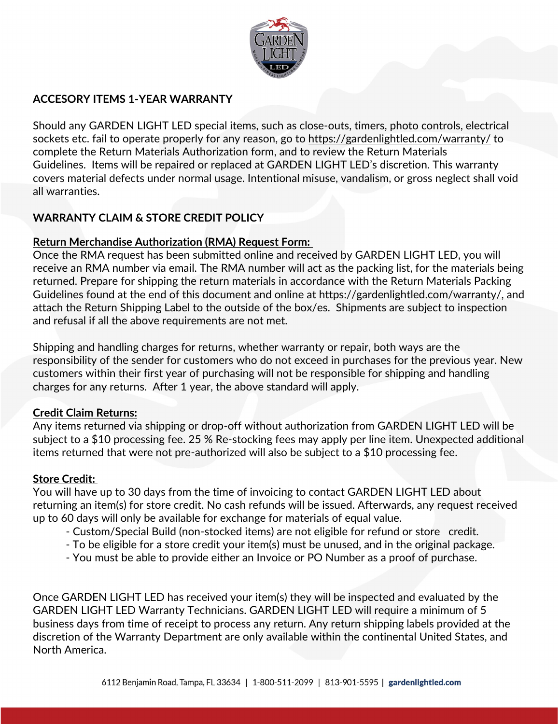

## **ACCESORY ITEMS 1-YEAR WARRANTY**

Should any GARDEN LIGHT LED special items, such as close-outs, timers, photo controls, electrical sockets etc. fail to operate properly for any reason, go to<https://gardenlightled.com/warranty/>to complete the Return Materials Authorization form, and to review the Return Materials Guidelines. Items will be repaired or replaced at GARDEN LIGHT LED's discretion. This warranty covers material defects under normal usage. Intentional misuse, vandalism, or gross neglect shall void all warranties.

## **WARRANTY CLAIM & STORE CREDIT POLICY**

## **Return Merchandise Authorization (RMA) Request Form:**

Once the RMA request has been submitted online and received by GARDEN LIGHT LED, you will receive an RMA number via email. The RMA number will act as the packing list, for the materials being returned. Prepare for shipping the return materials in accordance with the Return Materials Packing Guidelines found at the end of this document and online at [https://gardenlightled.com/warranty/,](https://gardenlightled.com/warranty/) and attach the Return Shipping Label to the outside of the box/es. Shipments are subject to inspection and refusal if all the above requirements are not met.

Shipping and handling charges for returns, whether warranty or repair, both ways are the responsibility of the sender for customers who do not exceed in purchases for the previous year. New customers within their first year of purchasing will not be responsible for shipping and handling charges for any returns. After 1 year, the above standard will apply.

## **Credit Claim Returns:**

Any items returned via shipping or drop-off without authorization from GARDEN LIGHT LED will be subject to a \$10 processing fee. 25 % Re-stocking fees may apply per line item. Unexpected additional items returned that were not pre-authorized will also be subject to a \$10 processing fee.

## **Store Credit:**

You will have up to 30 days from the time of invoicing to contact GARDEN LIGHT LED about returning an item(s) for store credit. No cash refunds will be issued. Afterwards, any request received up to 60 days will only be available for exchange for materials of equal value.

- Custom/Special Build (non-stocked items) are not eligible for refund or store credit.
- To be eligible for a store credit your item(s) must be unused, and in the original package.
- You must be able to provide either an Invoice or PO Number as a proof of purchase.

Once GARDEN LIGHT LED has received your item(s) they will be inspected and evaluated by the GARDEN LIGHT LED Warranty Technicians. GARDEN LIGHT LED will require a minimum of 5 business days from time of receipt to process any return. Any return shipping labels provided at the discretion of the Warranty Department are only available within the continental United States, and North America.